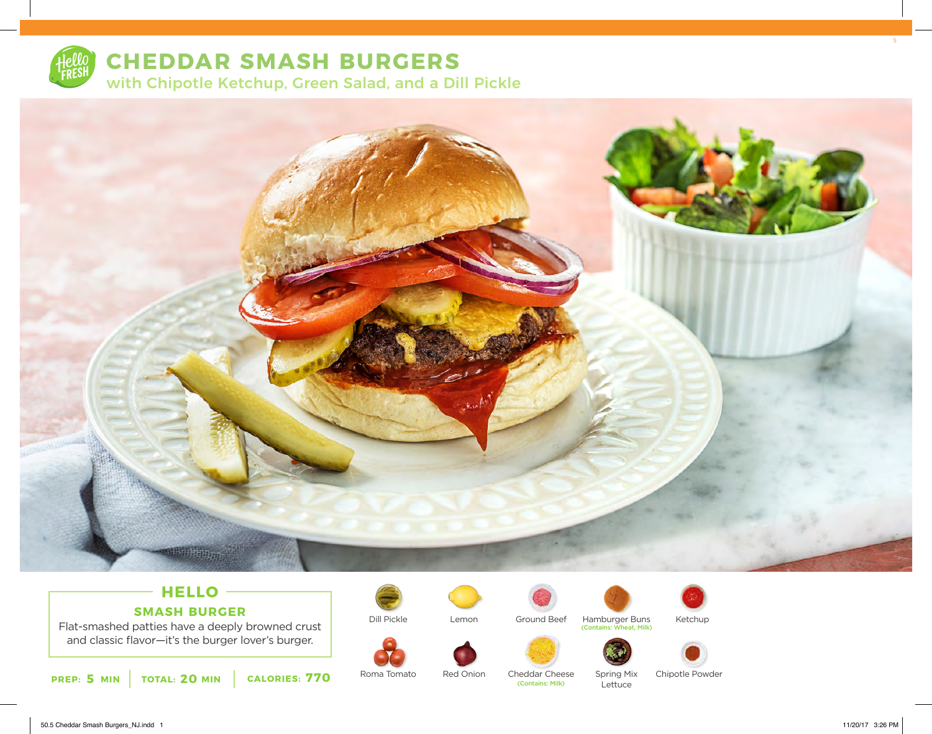

## **CHEDDAR SMASH BURGERS**

with Chipotle Ketchup, Green Salad, and a Dill Pickle



## **HELLO SMASH BURGER**

Flat-smashed patties have a deeply browned crust and classic flavor—it's the burger lover's burger.



Roma Tomato

Dill Pickle



Lemon



Red Onion

Ground Beef





Hamburger Buns

(Contains: Wheat, Milk)



Ketchup

Spring Mix **Lettuce** Cheddar Cheese<br> **Contains: Milk**)

Chipotle Powder

50.5 Cheddar Smash Burgers\_NJ.indd 1 11/20/17 3:26 PM